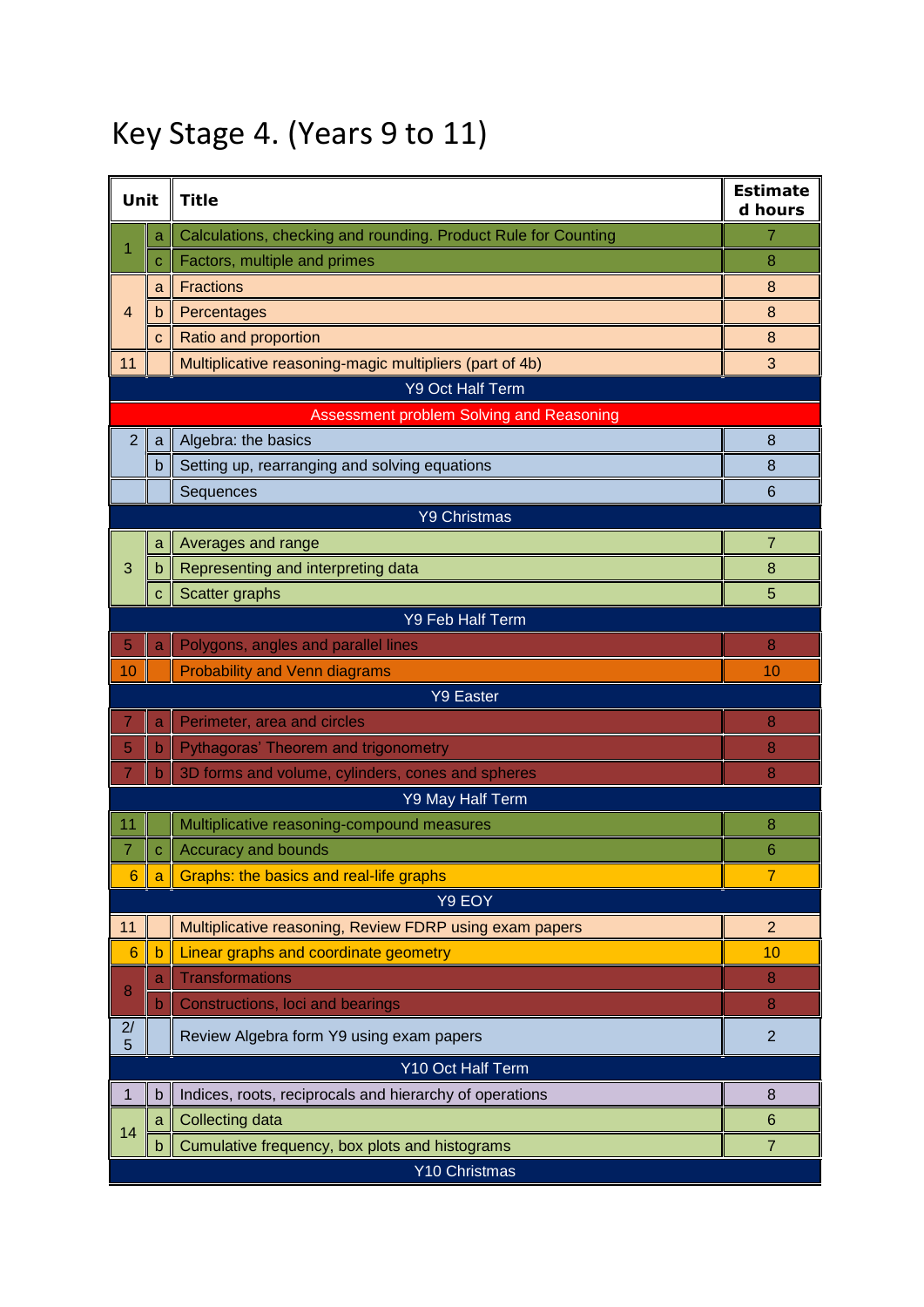## Key Stage 4. (Years 9 to 11)

| Unit                                     |              | <b>Title</b>                                                   | <b>Estimate</b><br>d hours |  |  |
|------------------------------------------|--------------|----------------------------------------------------------------|----------------------------|--|--|
| 1                                        | a            | Calculations, checking and rounding. Product Rule for Counting | 7                          |  |  |
|                                          | C            | Factors, multiple and primes                                   | 8                          |  |  |
|                                          | a            | <b>Fractions</b>                                               | 8                          |  |  |
| 4                                        | b            | Percentages                                                    | 8                          |  |  |
|                                          | C            | Ratio and proportion                                           | 8                          |  |  |
| 11                                       |              | Multiplicative reasoning-magic multipliers (part of 4b)        | 3                          |  |  |
| <b>Y9 Oct Half Term</b>                  |              |                                                                |                            |  |  |
| Assessment problem Solving and Reasoning |              |                                                                |                            |  |  |
| $\overline{2}$                           | a            | Algebra: the basics                                            | 8                          |  |  |
|                                          | $\mathsf b$  | Setting up, rearranging and solving equations                  | 8                          |  |  |
|                                          |              | Sequences                                                      | 6                          |  |  |
|                                          |              | <b>Y9 Christmas</b>                                            |                            |  |  |
|                                          | a            | Averages and range                                             | $\overline{7}$             |  |  |
| 3                                        | b            | Representing and interpreting data                             | 8                          |  |  |
|                                          | $\mathbf{C}$ | Scatter graphs                                                 | 5                          |  |  |
|                                          |              | <b>Y9 Feb Half Term</b>                                        |                            |  |  |
| 5                                        | a            | Polygons, angles and parallel lines                            | 8                          |  |  |
| 10                                       |              | <b>Probability and Venn diagrams</b>                           | 10                         |  |  |
|                                          |              | <b>Y9 Easter</b>                                               |                            |  |  |
| 7                                        | a            | Perimeter, area and circles                                    | 8                          |  |  |
| 5                                        | $\mathsf b$  | Pythagoras' Theorem and trigonometry                           | 8                          |  |  |
| $\overline{7}$                           | $\mathbf b$  | 3D forms and volume, cylinders, cones and spheres              | 8                          |  |  |
|                                          |              | Y9 May Half Term                                               |                            |  |  |
| 11                                       |              | Multiplicative reasoning-compound measures                     | 8                          |  |  |
| 7                                        | $\mathbf C$  | Accuracy and bounds                                            | 6                          |  |  |
| $6\phantom{1}6$                          | a            | Graphs: the basics and real-life graphs                        | $\overline{7}$             |  |  |
|                                          |              | Y9 EOY                                                         |                            |  |  |
| 11                                       |              | Multiplicative reasoning, Review FDRP using exam papers        | $\overline{2}$             |  |  |
| 6                                        | $\mathsf{b}$ | Linear graphs and coordinate geometry                          | 10                         |  |  |
| 8                                        | a            | <b>Transformations</b>                                         | 8                          |  |  |
|                                          | $\mathsf b$  | Constructions, loci and bearings                               | 8                          |  |  |
| 2/<br>5                                  |              | Review Algebra form Y9 using exam papers                       | $\overline{2}$             |  |  |
| Y10 Oct Half Term                        |              |                                                                |                            |  |  |
| 1                                        | b            | Indices, roots, reciprocals and hierarchy of operations        | 8                          |  |  |
| 14                                       | a            | Collecting data                                                | 6                          |  |  |
|                                          | $\mathsf b$  | Cumulative frequency, box plots and histograms                 | $\overline{7}$             |  |  |
|                                          |              | Y10 Christmas                                                  |                            |  |  |